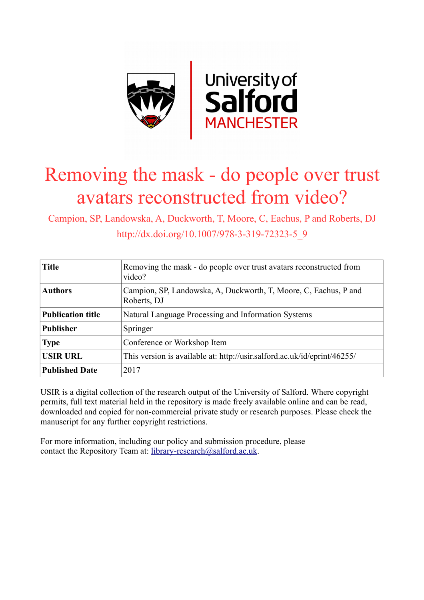

# Removing the mask - do people over trust avatars reconstructed from video?

Campion, SP, Landowska, A, Duckworth, T, Moore, C, Eachus, P and Roberts, DJ http://dx.doi.org/10.1007/978-3-319-72323-5\_9

| <b>Title</b>             | Removing the mask - do people over trust avatars reconstructed from<br>video?   |  |  |
|--------------------------|---------------------------------------------------------------------------------|--|--|
| <b>Authors</b>           | Campion, SP, Landowska, A, Duckworth, T, Moore, C, Eachus, P and<br>Roberts, DJ |  |  |
| <b>Publication title</b> | Natural Language Processing and Information Systems                             |  |  |
| <b>Publisher</b>         | Springer                                                                        |  |  |
| <b>Type</b>              | Conference or Workshop Item                                                     |  |  |
| <b>USIR URL</b>          | This version is available at: http://usir.salford.ac.uk/id/eprint/46255/        |  |  |
| <b>Published Date</b>    | 2017                                                                            |  |  |

USIR is a digital collection of the research output of the University of Salford. Where copyright permits, full text material held in the repository is made freely available online and can be read, downloaded and copied for non-commercial private study or research purposes. Please check the manuscript for any further copyright restrictions.

For more information, including our policy and submission procedure, please contact the Repository Team at: [library-research@salford.ac.uk.](mailto:library-research@salford.ac.uk)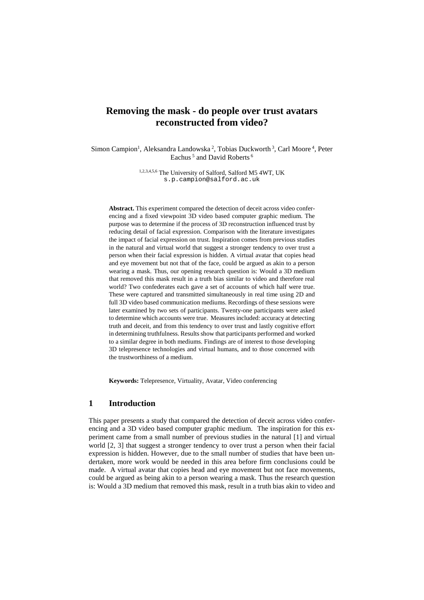# **Removing the mask - do people over trust avatars reconstructed from video?**

Simon Campion<sup>1</sup>, Aleksandra Landowska<sup>2</sup>, Tobias Duckworth<sup>3</sup>, Carl Moore<sup>4</sup>, Peter Eachus<sup>5</sup> and David Roberts<sup>6</sup>

> 1,2,3,4,5,6 The University of Salford, Salford M5 4WT, UK s.p.campion@salford.ac.uk

**Abstract.** This experiment compared the detection of deceit across video conferencing and a fixed viewpoint 3D video based computer graphic medium. The purpose was to determine if the process of 3D reconstruction influenced trust by reducing detail of facial expression. Comparison with the literature investigates the impact of facial expression on trust. Inspiration comes from previous studies in the natural and virtual world that suggest a stronger tendency to over trust a person when their facial expression is hidden. A virtual avatar that copies head and eye movement but not that of the face, could be argued as akin to a person wearing a mask. Thus, our opening research question is: Would a 3D medium that removed this mask result in a truth bias similar to video and therefore real world? Two confederates each gave a set of accounts of which half were true. These were captured and transmitted simultaneously in real time using 2D and full 3D video based communication mediums. Recordings of these sessions were later examined by two sets of participants. Twenty-one participants were asked to determine which accounts were true. Measures included: accuracy at detecting truth and deceit, and from this tendency to over trust and lastly cognitive effort in determining truthfulness. Results show that participants performed and worked to a similar degree in both mediums. Findings are of interest to those developing 3D telepresence technologies and virtual humans, and to those concerned with the trustworthiness of a medium.

**Keywords:** Telepresence, Virtuality, Avatar, Video conferencing

# **1 Introduction**

This paper presents a study that compared the detection of deceit across video conferencing and a 3D video based computer graphic medium. The inspiration for this experiment came from a small number of previous studies in the natural [\[1\]](#page-18-0) and virtual world [\[2,](#page-18-1) [3\]](#page-18-2) that suggest a stronger tendency to over trust a person when their facial expression is hidden. However, due to the small number of studies that have been undertaken, more work would be needed in this area before firm conclusions could be made. A virtual avatar that copies head and eye movement but not face movements, could be argued as being akin to a person wearing a mask. Thus the research question is: Would a 3D medium that removed this mask, result in a truth bias akin to video and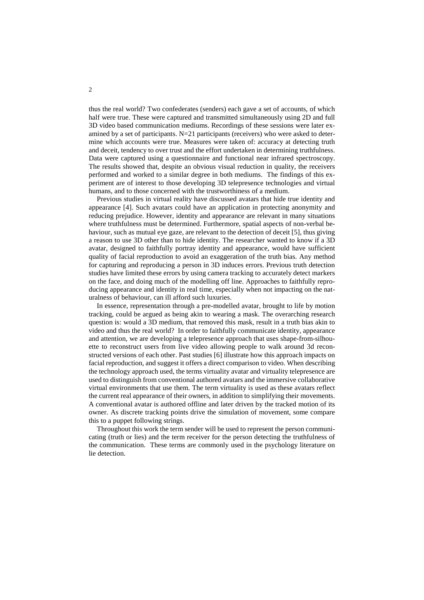thus the real world? Two confederates (senders) each gave a set of accounts, of which half were true. These were captured and transmitted simultaneously using 2D and full 3D video based communication mediums. Recordings of these sessions were later examined by a set of participants. N=21 participants (receivers) who were asked to determine which accounts were true. Measures were taken of: accuracy at detecting truth and deceit, tendency to over trust and the effort undertaken in determining truthfulness. Data were captured using a questionnaire and functional near infrared spectroscopy. The results showed that, despite an obvious visual reduction in quality, the receivers performed and worked to a similar degree in both mediums. The findings of this experiment are of interest to those developing 3D telepresence technologies and virtual humans, and to those concerned with the trustworthiness of a medium.

Previous studies in virtual reality have discussed avatars that hide true identity and appearance [\[4\]](#page-18-3). Such avatars could have an application in protecting anonymity and reducing prejudice. However, identity and appearance are relevant in many situations where truthfulness must be determined. Furthermore, spatial aspects of non-verbal be-haviour, such as mutual eye gaze, are relevant to the detection of deceit [\[5\]](#page-18-4), thus giving a reason to use 3D other than to hide identity. The researcher wanted to know if a 3D avatar, designed to faithfully portray identity and appearance, would have sufficient quality of facial reproduction to avoid an exaggeration of the truth bias. Any method for capturing and reproducing a person in 3D induces errors. Previous truth detection studies have limited these errors by using camera tracking to accurately detect markers on the face, and doing much of the modelling off line. Approaches to faithfully reproducing appearance and identity in real time, especially when not impacting on the naturalness of behaviour, can ill afford such luxuries.

In essence, representation through a pre-modelled avatar, brought to life by motion tracking, could be argued as being akin to wearing a mask. The overarching research question is: would a 3D medium, that removed this mask, result in a truth bias akin to video and thus the real world? In order to faithfully communicate identity, appearance and attention, we are developing a telepresence approach that uses shape-from-silhouette to reconstruct users from live video allowing people to walk around 3d reconstructed versions of each other. Past studies [\[6\]](#page-18-5) illustrate how this approach impacts on facial reproduction, and suggest it offers a direct comparison to video. When describing the technology approach used, the terms virtuality avatar and virtuality telepresence are used to distinguish from conventional authored avatars and the immersive collaborative virtual environments that use them. The term virtuality is used as these avatars reflect the current real appearance of their owners, in addition to simplifying their movements. A conventional avatar is authored offline and later driven by the tracked motion of its owner. As discrete tracking points drive the simulation of movement, some compare this to a puppet following strings.

Throughout this work the term sender will be used to represent the person communicating (truth or lies) and the term receiver for the person detecting the truthfulness of the communication. These terms are commonly used in the psychology literature on lie detection.

2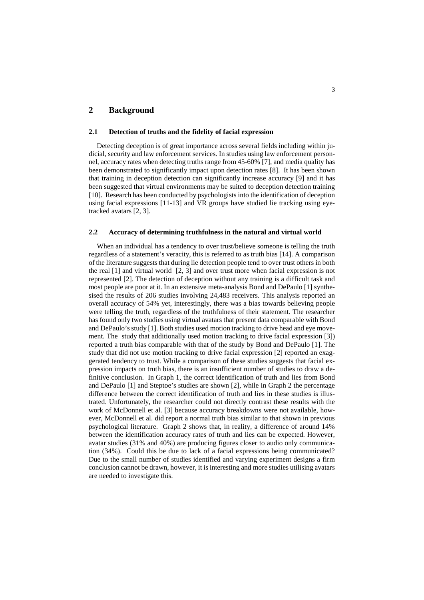## **2 Background**

#### **2.1 Detection of truths and the fidelity of facial expression**

Detecting deception is of great importance across several fields including within judicial, security and law enforcement services. In studies using law enforcement personnel, accuracy rates when detecting truths range from 45-60% [\[7\]](#page-18-6), and media quality has been demonstrated to significantly impact upon detection rates [\[8\]](#page-18-7). It has been shown that training in deception detection can significantly increase accuracy [\[9\]](#page-18-8) and it has been suggested that virtual environments may be suited to deception detection training [\[10\]](#page-18-9). Research has been conducted by psychologists into the identification of deception using facial expressions [\[11-13\]](#page-18-10) and VR groups have studied lie tracking using eyetracked avatars [\[2,](#page-18-1) [3\]](#page-18-2).

### **2.2 Accuracy of determining truthfulness in the natural and virtual world**

When an individual has a tendency to over trust/believe someone is telling the truth regardless of a statement's veracity, this is referred to as truth bias [\[14\]](#page-18-11). A comparison of the literature suggests that during lie detection people tend to over trust others in both the real [\[1\]](#page-18-0) and virtual world [\[2,](#page-18-1) [3\]](#page-18-2) and over trust more when facial expression is not represented [\[2\]](#page-18-1). The detection of deception without any training is a difficult task and most people are poor at it. In an extensive meta-analysis Bond and DePaulo [\[1\]](#page-18-0) synthesised the results of 206 studies involving 24,483 receivers. This analysis reported an overall accuracy of 54% yet, interestingly, there was a bias towards believing people were telling the truth, regardless of the truthfulness of their statement. The researcher has found only two studies using virtual avatars that present data comparable with Bond and DePaulo's study  $[1]$ . Both studies used motion tracking to drive head and eye movement. The study that additionally used motion tracking to drive facial expression [\[3\]](#page-18-2)) reported a truth bias comparable with that of the study by Bond and DePaulo [\[1\]](#page-18-0). The study that did not use motion tracking to drive facial expression [\[2\]](#page-18-1) reported an exaggerated tendency to trust. While a comparison of these studies suggests that facial expression impacts on truth bias, there is an insufficient number of studies to draw a definitive conclusion. In [Graph 1,](#page-4-0) the correct identification of truth and lies from Bond and DePaulo [\[1\]](#page-18-0) and Steptoe's studies are shown [\[2\]](#page-18-1), while in [Graph 2](#page-4-1) the percentage difference between the correct identification of truth and lies in these studies is illustrated. Unfortunately, the researcher could not directly contrast these results with the work of McDonnell et al. [\[3\]](#page-18-2) because accuracy breakdowns were not available, however, McDonnell et al. did report a normal truth bias similar to that shown in previous psychological literature. [Graph 2](#page-4-1) shows that, in reality, a difference of around 14% between the identification accuracy rates of truth and lies can be expected. However, avatar studies (31% and 40%) are producing figures closer to audio only communication (34%). Could this be due to lack of a facial expressions being communicated? Due to the small number of studies identified and varying experiment designs a firm conclusion cannot be drawn, however, it is interesting and more studies utilising avatars are needed to investigate this.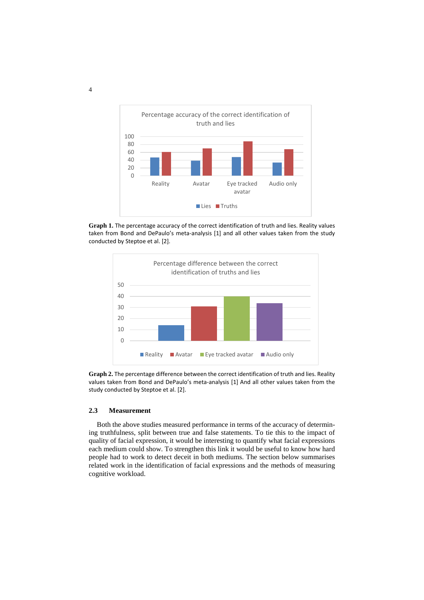

<span id="page-4-0"></span>**Graph 1.** The percentage accuracy of the correct identification of truth and lies. Reality values taken from Bond and DePaulo's meta-analysis [\[1\]](#page-18-0) and all other values taken from the study conducted by Steptoe et al. [\[2\]](#page-18-1).



<span id="page-4-1"></span>**Graph 2.** The percentage difference between the correct identification of truth and lies. Reality values taken from Bond and DePaulo's meta-analysis [\[1\]](#page-18-0) And all other values taken from the study conducted by Steptoe et al. [\[2\]](#page-18-1).

# **2.3 Measurement**

Both the above studies measured performance in terms of the accuracy of determining truthfulness, split between true and false statements. To tie this to the impact of quality of facial expression, it would be interesting to quantify what facial expressions each medium could show. To strengthen this link it would be useful to know how hard people had to work to detect deceit in both mediums. The section below summarises related work in the identification of facial expressions and the methods of measuring cognitive workload.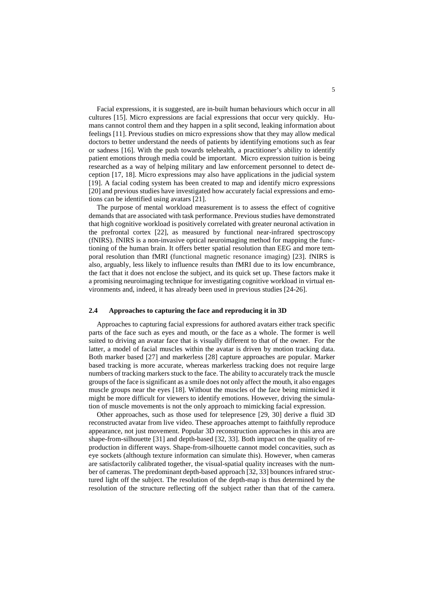Facial expressions, it is suggested, are in-built human behaviours which occur in all cultures [\[15\]](#page-19-0). Micro expressions are facial expressions that occur very quickly. Humans cannot control them and they happen in a split second, leaking information about feelings [\[11\]](#page-18-10). Previous studies on micro expressions show that they may allow medical doctors to better understand the needs of patients by identifying emotions such as fear or sadness [\[16\]](#page-19-1). With the push towards telehealth, a practitioner's ability to identify patient emotions through media could be important. Micro expression tuition is being researched as a way of helping military and law enforcement personnel to detect deception [\[17,](#page-19-2) [18\]](#page-19-3). Micro expressions may also have applications in the judicial system [\[19\]](#page-19-4). A facial coding system has been created to map and identify micro expressions [\[20\]](#page-19-5) and previous studies have investigated how accurately facial expressions and emotions can be identified using avatars [\[21\]](#page-19-6).

The purpose of mental workload measurement is to assess the effect of cognitive demands that are associated with task performance. Previous studies have demonstrated that high cognitive workload is positively correlated with greater neuronal activation in the prefrontal cortex [\[22\]](#page-19-7), as measured by functional near-infrared spectroscopy (fNIRS). fNIRS is a non-invasive optical neuroimaging method for mapping the functioning of the human brain. It offers better spatial resolution than EEG and more temporal resolution than fMRI (functional magnetic resonance imaging) [\[23\]](#page-19-8). fNIRS is also, arguably, less likely to influence results than fMRI due to its low encumbrance, the fact that it does not enclose the subject, and its quick set up. These factors make it a promising neuroimaging technique for investigating cognitive workload in virtual environments and, indeed, it has already been used in previous studies [\[24-26\]](#page-19-9).

### **2.4 Approaches to capturing the face and reproducing it in 3D**

Approaches to capturing facial expressions for authored avatars either track specific parts of the face such as eyes and mouth, or the face as a whole. The former is well suited to driving an avatar face that is visually different to that of the owner. For the latter, a model of facial muscles within the avatar is driven by motion tracking data. Both marker based [\[27\]](#page-19-10) and markerless [\[28\]](#page-19-11) capture approaches are popular. Marker based tracking is more accurate, whereas markerless tracking does not require large numbers of tracking markers stuck to the face. The ability to accurately track the muscle groups of the face is significant as a smile does not only affect the mouth, it also engages muscle groups near the eyes [\[18\]](#page-19-3). Without the muscles of the face being mimicked it might be more difficult for viewers to identify emotions. However, driving the simulation of muscle movements is not the only approach to mimicking facial expression.

Other approaches, such as those used for telepresence [\[29,](#page-19-12) [30\]](#page-19-13) derive a fluid 3D reconstructed avatar from live video. These approaches attempt to faithfully reproduce appearance, not just movement. Popular 3D reconstruction approaches in this area are shape-from-silhouette [\[31\]](#page-19-14) and depth-based [\[32,](#page-19-15) [33\]](#page-19-16). Both impact on the quality of reproduction in different ways. Shape-from-silhouette cannot model concavities, such as eye sockets (although texture information can simulate this). However, when cameras are satisfactorily calibrated together, the visual-spatial quality increases with the number of cameras. The predominant depth-based approach [\[32,](#page-19-15) [33\]](#page-19-16) bounces infrared structured light off the subject. The resolution of the depth-map is thus determined by the resolution of the structure reflecting off the subject rather than that of the camera.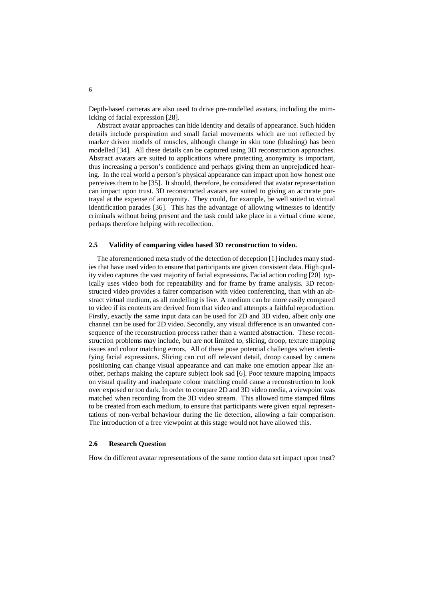Depth-based cameras are also used to drive pre-modelled avatars, including the mimicking of facial expression [\[28\]](#page-19-11).

Abstract avatar approaches can hide identity and details of appearance. Such hidden details include perspiration and small facial movements which are not reflected by marker driven models of muscles, although change in skin tone (blushing) has been modelled [\[34\]](#page-20-0). All these details can be captured using 3D reconstruction approaches. Abstract avatars are suited to applications where protecting anonymity is important, thus increasing a person's confidence and perhaps giving them an unprejudiced hearing. In the real world a person's physical appearance can impact upon how honest one perceives them to be [\[35\]](#page-20-1). It should, therefore, be considered that avatar representation can impact upon trust. 3D reconstructed avatars are suited to giving an accurate portrayal at the expense of anonymity. They could, for example, be well suited to virtual identification parades [\[36\]](#page-20-2). This has the advantage of allowing witnesses to identify criminals without being present and the task could take place in a virtual crime scene, perhaps therefore helping with recollection.

#### **2.5 Validity of comparing video based 3D reconstruction to video.**

The aforementioned meta study of the detection of deception [\[1\]](#page-18-0) includes many studies that have used video to ensure that participants are given consistent data. High quality video captures the vast majority of facial expressions. Facial action coding [\[20\]](#page-19-5) typically uses video both for repeatability and for frame by frame analysis. 3D reconstructed video provides a fairer comparison with video conferencing, than with an abstract virtual medium, as all modelling is live. A medium can be more easily compared to video if its contents are derived from that video and attempts a faithful reproduction. Firstly, exactly the same input data can be used for 2D and 3D video, albeit only one channel can be used for 2D video. Secondly, any visual difference is an unwanted consequence of the reconstruction process rather than a wanted abstraction. These reconstruction problems may include, but are not limited to, slicing, droop, texture mapping issues and colour matching errors. All of these pose potential challenges when identifying facial expressions. Slicing can cut off relevant detail, droop caused by camera positioning can change visual appearance and can make one emotion appear like another, perhaps making the capture subject look sad [\[6\]](#page-18-5). Poor texture mapping impacts on visual quality and inadequate colour matching could cause a reconstruction to look over exposed or too dark. In order to compare 2D and 3D video media, a viewpoint was matched when recording from the 3D video stream. This allowed time stamped films to be created from each medium, to ensure that participants were given equal representations of non-verbal behaviour during the lie detection, allowing a fair comparison. The introduction of a free viewpoint at this stage would not have allowed this.

#### **2.6 Research Question**

How do different avatar representations of the same motion data set impact upon trust?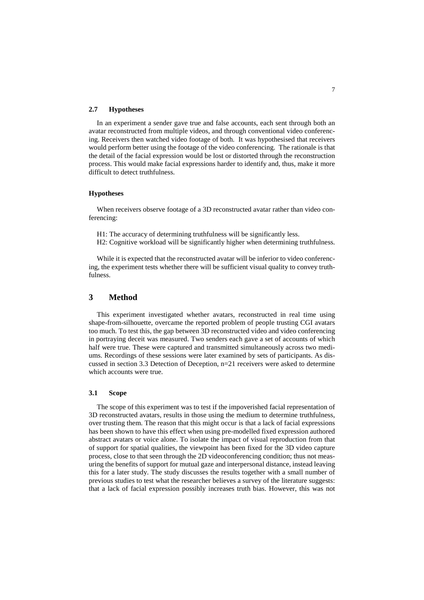#### **2.7 Hypotheses**

In an experiment a sender gave true and false accounts, each sent through both an avatar reconstructed from multiple videos, and through conventional video conferencing. Receivers then watched video footage of both. It was hypothesised that receivers would perform better using the footage of the video conferencing. The rationale is that the detail of the facial expression would be lost or distorted through the reconstruction process. This would make facial expressions harder to identify and, thus, make it more difficult to detect truthfulness.

#### **Hypotheses**

When receivers observe footage of a 3D reconstructed avatar rather than video conferencing:

H1: The accuracy of determining truthfulness will be significantly less. H2: Cognitive workload will be significantly higher when determining truthfulness.

While it is expected that the reconstructed avatar will be inferior to video conferencing, the experiment tests whether there will be sufficient visual quality to convey truthfulness.

## **3 Method**

This experiment investigated whether avatars, reconstructed in real time using shape-from-silhouette, overcame the reported problem of people trusting CGI avatars too much. To test this, the gap between 3D reconstructed video and video conferencing in portraying deceit was measured. Two senders each gave a set of accounts of which half were true. These were captured and transmitted simultaneously across two mediums. Recordings of these sessions were later examined by sets of participants. As dis-cussed in section 3.3 [Detection of Deception,](#page-11-0)  $n=21$  receivers were asked to determine which accounts were true.

#### **3.1 Scope**

The scope of this experiment was to test if the impoverished facial representation of 3D reconstructed avatars, results in those using the medium to determine truthfulness, over trusting them. The reason that this might occur is that a lack of facial expressions has been shown to have this effect when using pre-modelled fixed expression authored abstract avatars or voice alone. To isolate the impact of visual reproduction from that of support for spatial qualities, the viewpoint has been fixed for the 3D video capture process, close to that seen through the 2D videoconferencing condition; thus not measuring the benefits of support for mutual gaze and interpersonal distance, instead leaving this for a later study. The study discusses the results together with a small number of previous studies to test what the researcher believes a survey of the literature suggests: that a lack of facial expression possibly increases truth bias. However, this was not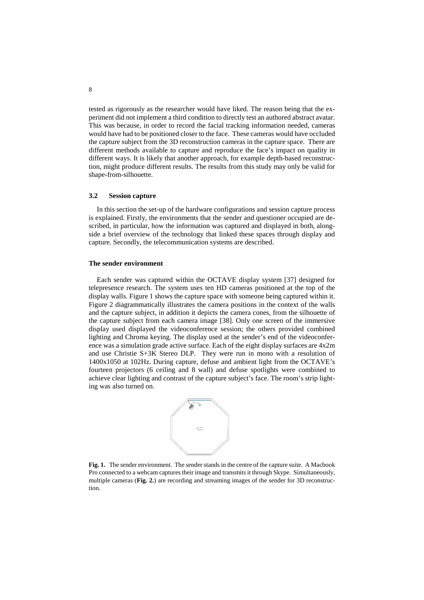tested as rigorously as the researcher would have liked. The reason being that the experiment did not implement a third condition to directly test an authored abstract avatar. This was because, in order to record the facial tracking information needed, cameras would have had to be positioned closer to the face. These cameras would have occluded the capture subject from the 3D reconstruction cameras in the capture space. There are different methods available to capture and reproduce the face's impact on quality in different ways. It is likely that another approach, for example depth-based reconstruction, might produce different results. The results from this study may only be valid for shape-from-silhouette.

#### **3.2 Session capture**

In this section the set-up of the hardware configurations and session capture process is explained. Firstly, the environments that the sender and questioner occupied are described, in particular, how the information was captured and displayed in both, alongside a brief overview of the technology that linked these spaces through display and capture. Secondly, the telecommunication systems are described.

#### **The sender environment**

Each sender was captured within the OCTAVE display system [\[37\]](#page-20-3) designed for telepresence research. The system uses ten HD cameras positioned at the top of the display walls. Figure 1 shows the capture space with someone being captured within it. Figure 2 diagrammatically illustrates the camera positions in the context of the walls and the capture subject, in addition it depicts the camera cones, from the silhouette of the capture subject from each camera image [\[38\]](#page-20-4). Only one screen of the immersive display used displayed the videoconference session; the others provided combined lighting and Chroma keying. The display used at the sender's end of the videoconference was a simulation grade active surface. Each of the eight display surfaces are 4x2m and use Christie S+3K Stereo DLP. They were run in mono with a resolution of 1400x1050 at 102Hz. During capture, defuse and ambient light from the OCTAVE's fourteen projectors (6 ceiling and 8 wall) and defuse spotlights were combined to achieve clear lighting and contrast of the capture subject's face. The room's strip lighting was also turned on.



**Fig. 1.** The sender environment. The sender stands in the centre of the capture suite. A Macbook Pro connected to a webcam captures their image and transmits it through Skype. Simultaneously, multiple cameras (**[Fig. 2.](#page-9-0)**) are recording and streaming images of the sender for 3D reconstruction.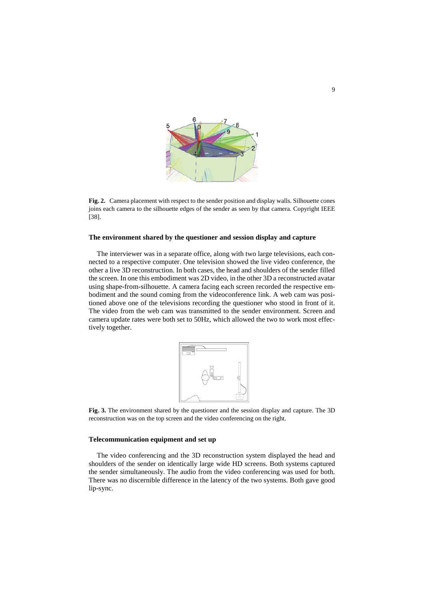

<span id="page-9-0"></span>**Fig. 2.** Camera placement with respect to the sender position and display walls. Silhouette cones joins each camera to the silhouette edges of the sender as seen by that camera. Copyright IEEE [\[38\]](#page-20-4).

### **The environment shared by the questioner and session display and capture**

The interviewer was in a separate office, along with two large televisions, each connected to a respective computer. One television showed the live video conference, the other a live 3D reconstruction. In both cases, the head and shoulders of the sender filled the screen. In one this embodiment was 2D video, in the other 3D a reconstructed avatar using shape-from-silhouette. A camera facing each screen recorded the respective embodiment and the sound coming from the videoconference link. A web cam was positioned above one of the televisions recording the questioner who stood in front of it. The video from the web cam was transmitted to the sender environment. Screen and camera update rates were both set to 50Hz, which allowed the two to work most effectively together.



**Fig. 3.** The environment shared by the questioner and the session display and capture. The 3D reconstruction was on the top screen and the video conferencing on the right.

## **Telecommunication equipment and set up**

The video conferencing and the 3D reconstruction system displayed the head and shoulders of the sender on identically large wide HD screens. Both systems captured the sender simultaneously. The audio from the video conferencing was used for both. There was no discernible difference in the latency of the two systems. Both gave good lip-sync.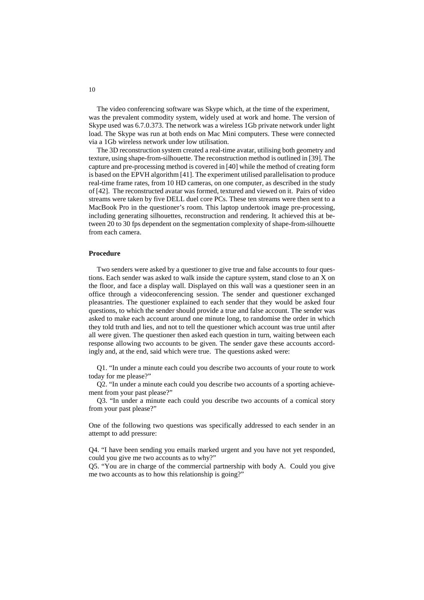The video conferencing software was Skype which, at the time of the experiment, was the prevalent commodity system, widely used at work and home. The version of Skype used was 6.7.0.373. The network was a wireless 1Gb private network under light load. The Skype was run at both ends on Mac Mini computers. These were connected via a 1Gb wireless network under low utilisation.

The 3D reconstruction system created a real-time avatar, utilising both geometry and texture, using shape-from-silhouette. The reconstruction method is outlined in [\[39\]](#page-20-5). The capture and pre-processing method is covered in [\[40\]](#page-20-6) while the method of creating form is based on the EPVH algorithm [\[41\]](#page-20-7). The experiment utilised parallelisation to produce real-time frame rates, from 10 HD cameras, on one computer, as described in the study of [\[42\]](#page-20-8). The reconstructed avatar was formed, textured and viewed on it. Pairs of video streams were taken by five DELL duel core PCs. These ten streams were then sent to a MacBook Pro in the questioner's room. This laptop undertook image pre-processing, including generating silhouettes, reconstruction and rendering. It achieved this at between 20 to 30 fps dependent on the segmentation complexity of shape-from-silhouette from each camera.

#### **Procedure**

Two senders were asked by a questioner to give true and false accounts to four questions. Each sender was asked to walk inside the capture system, stand close to an X on the floor, and face a display wall. Displayed on this wall was a questioner seen in an office through a videoconferencing session. The sender and questioner exchanged pleasantries. The questioner explained to each sender that they would be asked four questions, to which the sender should provide a true and false account. The sender was asked to make each account around one minute long, to randomise the order in which they told truth and lies, and not to tell the questioner which account was true until after all were given. The questioner then asked each question in turn, waiting between each response allowing two accounts to be given. The sender gave these accounts accordingly and, at the end, said which were true. The questions asked were:

Q1. "In under a minute each could you describe two accounts of your route to work today for me please?"

Q2. "In under a minute each could you describe two accounts of a sporting achievement from your past please?"

Q3. "In under a minute each could you describe two accounts of a comical story from your past please?"

One of the following two questions was specifically addressed to each sender in an attempt to add pressure:

Q4. "I have been sending you emails marked urgent and you have not yet responded, could you give me two accounts as to why?"

Q5. "You are in charge of the commercial partnership with body A. Could you give me two accounts as to how this relationship is going?"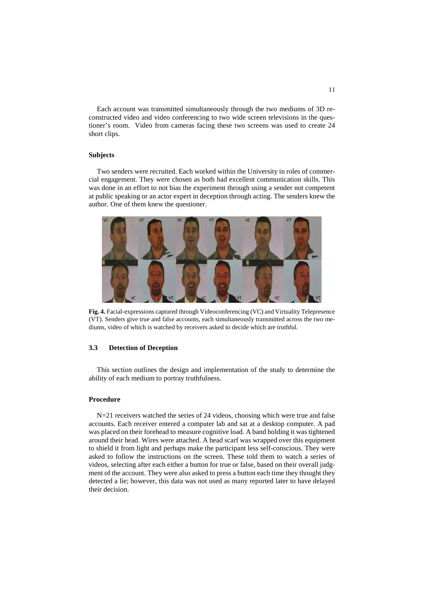Each account was transmitted simultaneously through the two mediums of 3D reconstructed video and video conferencing to two wide screen televisions in the questioner's room. Video from cameras facing these two screens was used to create 24 short clips.

#### **Subjects**

Two senders were recruited. Each worked within the University in roles of commercial engagement. They were chosen as both had excellent communication skills. This was done in an effort to not bias the experiment through using a sender not competent at public speaking or an actor expert in deception through acting. The senders knew the author. One of them knew the questioner.



**Fig. 4.** Facial-expressions captured through Videoconferencing (VC) and Virtuality Telepresence (VT). Senders give true and false accounts, each simultaneously transmitted across the two mediums, video of which is watched by receivers asked to decide which are truthful.

## <span id="page-11-0"></span>**3.3 Detection of Deception**

This section outlines the design and implementation of the study to determine the ability of each medium to portray truthfulness.

#### **Procedure**

N=21 receivers watched the series of 24 videos, choosing which were true and false accounts. Each receiver entered a computer lab and sat at a desktop computer. A pad was placed on their forehead to measure cognitive load. A band holding it was tightened around their head. Wires were attached. A head scarf was wrapped over this equipment to shield it from light and perhaps make the participant less self-conscious. They were asked to follow the instructions on the screen. These told them to watch a series of videos, selecting after each either a button for true or false, based on their overall judgment of the account. They were also asked to press a button each time they thought they detected a lie; however, this data was not used as many reported later to have delayed their decision.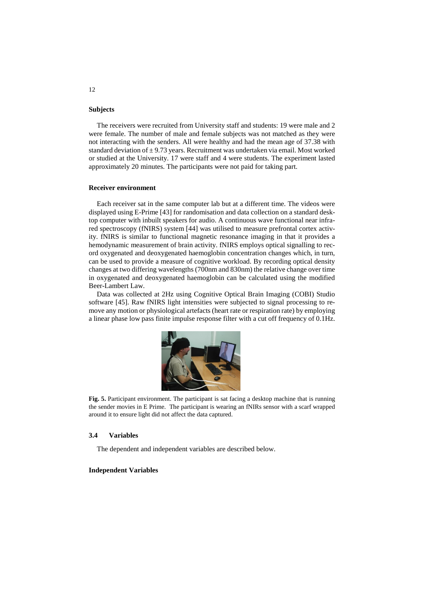#### **Subjects**

The receivers were recruited from University staff and students: 19 were male and 2 were female. The number of male and female subjects was not matched as they were not interacting with the senders. All were healthy and had the mean age of 37.38 with standard deviation of  $\pm$  9.73 years. Recruitment was undertaken via email. Most worked or studied at the University. 17 were staff and 4 were students. The experiment lasted approximately 20 minutes. The participants were not paid for taking part.

#### **Receiver environment**

Each receiver sat in the same computer lab but at a different time. The videos were displayed using E-Prime [\[43\]](#page-20-9) for randomisation and data collection on a standard desktop computer with inbuilt speakers for audio. A continuous wave functional near infrared spectroscopy (fNIRS) system [\[44\]](#page-20-10) was utilised to measure prefrontal cortex activity. fNIRS is similar to functional magnetic resonance imaging in that it provides a hemodynamic measurement of brain activity. fNIRS employs optical signalling to record oxygenated and deoxygenated haemoglobin concentration changes which, in turn, can be used to provide a measure of cognitive workload. By recording optical density changes at two differing wavelengths (700nm and 830nm) the relative change over time in oxygenated and deoxygenated haemoglobin can be calculated using the modified Beer-Lambert Law.

Data was collected at 2Hz using Cognitive Optical Brain Imaging (COBI) Studio software [\[45\]](#page-20-11). Raw fNIRS light intensities were subjected to signal processing to remove any motion or physiological artefacts (heart rate or respiration rate) by employing a linear phase low pass finite impulse response filter with a cut off frequency of 0.1Hz.



**Fig. 5.** Participant environment. The participant is sat facing a desktop machine that is running the sender movies in E Prime. The participant is wearing an fNIRs sensor with a scarf wrapped around it to ensure light did not affect the data captured.

#### **3.4 Variables**

The dependent and independent variables are described below.

#### **Independent Variables**

12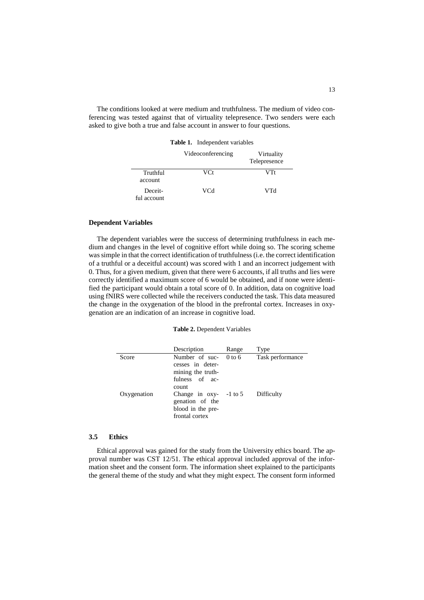The conditions looked at were medium and truthfulness. The medium of video conferencing was tested against that of virtuality telepresence. Two senders were each asked to give both a true and false account in answer to four questions.

**Table 1.** Independent variables

|                        | Videoconferencing | Virtuality<br>Telepresence |
|------------------------|-------------------|----------------------------|
| Truthful<br>account    | VCt               | VTt                        |
| Deceit-<br>ful account | VCd               | VTd                        |

#### **Dependent Variables**

The dependent variables were the success of determining truthfulness in each medium and changes in the level of cognitive effort while doing so. The scoring scheme was simple in that the correct identification of truthfulness (i.e. the correct identification of a truthful or a deceitful account) was scored with 1 and an incorrect judgement with 0. Thus, for a given medium, given that there were 6 accounts, if all truths and lies were correctly identified a maximum score of 6 would be obtained, and if none were identified the participant would obtain a total score of 0. In addition, data on cognitive load using fNIRS were collected while the receivers conducted the task. This data measured the change in the oxygenation of the blood in the prefrontal cortex. Increases in oxygenation are an indication of an increase in cognitive load.

#### **Table 2.** Dependent Variables

|             | Description                                                                         | Range | Type             |
|-------------|-------------------------------------------------------------------------------------|-------|------------------|
| Score       | Number of suc- $0$ to 6                                                             |       | Task performance |
|             | cesses in deter-<br>mining the truth-<br>fulness of ac-<br>count                    |       |                  |
| Oxygenation | Change in $oxy$ - -1 to 5<br>genation of the<br>blood in the pre-<br>frontal cortex |       | Difficulty       |

#### **3.5 Ethics**

Ethical approval was gained for the study from the University ethics board. The approval number was CST 12/51. The ethical approval included approval of the information sheet and the consent form. The information sheet explained to the participants the general theme of the study and what they might expect. The consent form informed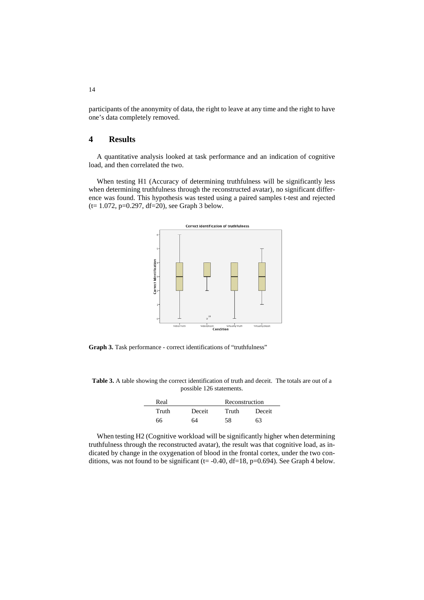participants of the anonymity of data, the right to leave at any time and the right to have one's data completely removed.

# **4 Results**

A quantitative analysis looked at task performance and an indication of cognitive load, and then correlated the two.

When testing H1 (Accuracy of determining truthfulness will be significantly less when determining truthfulness through the reconstructed avatar), no significant difference was found. This hypothesis was tested using a paired samples t-test and rejected  $(t= 1.072, p=0.297, df=20)$ , see [Graph 3](#page-14-0) below.



<span id="page-14-0"></span>**Graph 3.** Task performance - correct identifications of "truthfulness"

**Table 3.** A table showing the correct identification of truth and deceit. The totals are out of a possible 126 statements.

| Real  |        | Reconstruction |        |
|-------|--------|----------------|--------|
| Truth | Deceit | Truth          | Deceit |
| 66    | 64     | 58             | 63     |

When testing H2 (Cognitive workload will be significantly higher when determining truthfulness through the reconstructed avatar), the result was that cognitive load, as indicated by change in the oxygenation of blood in the frontal cortex, under the two conditions, was not found to be significant ( $t = -0.40$ ,  $df = 18$ ,  $p = 0.694$ ). See [Graph 4](#page-15-0) below.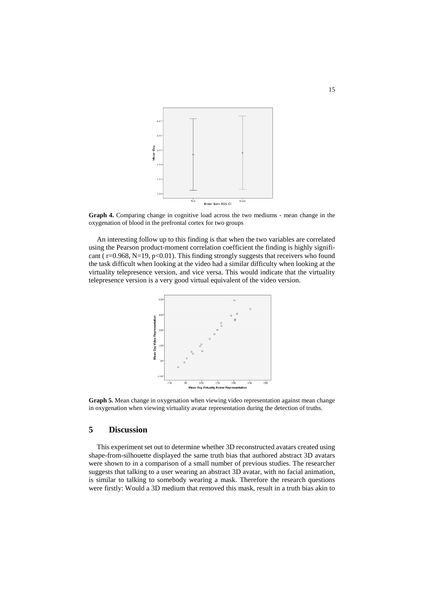

<span id="page-15-0"></span>**Graph 4.** Comparing change in cognitive load across the two mediums - mean change in the oxygenation of blood in the prefrontal cortex for two groups

An interesting follow up to this finding is that when the two variables are correlated using the Pearson product-moment correlation coefficient the finding is highly significant ( $r=0.968$ , N=19, p<0.01). This finding strongly suggests that receivers who found the task difficult when looking at the video had a similar difficulty when looking at the virtuality telepresence version, and vice versa. This would indicate that the virtuality telepresence version is a very good virtual equivalent of the video version.



**Graph 5.** Mean change in oxygenation when viewing video representation against mean change in oxygenation when viewing virtuality avatar representation during the detection of truths.

# **5 Discussion**

This experiment set out to determine whether 3D reconstructed avatars created using shape-from-silhouette displayed the same truth bias that authored abstract 3D avatars were shown to in a comparison of a small number of previous studies. The researcher suggests that talking to a user wearing an abstract 3D avatar, with no facial animation, is similar to talking to somebody wearing a mask. Therefore the research questions were firstly: Would a 3D medium that removed this mask, result in a truth bias akin to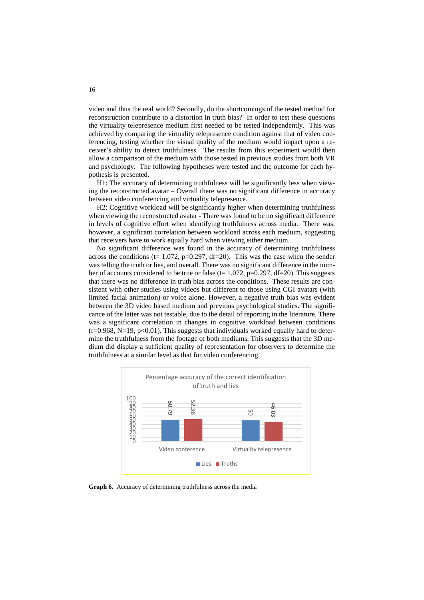video and thus the real world? Secondly, do the shortcomings of the tested method for reconstruction contribute to a distortion in truth bias? In order to test these questions the virtuality telepresence medium first needed to be tested independently. This was achieved by comparing the virtuality telepresence condition against that of video conferencing, testing whether the visual quality of the medium would impact upon a receiver's ability to detect truthfulness. The results from this experiment would then allow a comparison of the medium with those tested in previous studies from both VR and psychology. The following hypotheses were tested and the outcome for each hypothesis is presented.

H1: The accuracy of determining truthfulness will be significantly less when viewing the reconstructed avatar – Overall there was no significant difference in accuracy between video conferencing and virtuality telepresence.

H2: Cognitive workload will be significantly higher when determining truthfulness when viewing the reconstructed avatar - There was found to be no significant difference in levels of cognitive effort when identifying truthfulness across media. There was, however, a significant correlation between workload across each medium, suggesting that receivers have to work equally hard when viewing either medium.

No significant difference was found in the accuracy of determining truthfulness across the conditions ( $t= 1.072$ ,  $p=0.297$ ,  $df=20$ ). This was the case when the sender was telling the truth or lies, and overall. There was no significant difference in the number of accounts considered to be true or false ( $t= 1.072$ ,  $p=0.297$ ,  $df=20$ ). This suggests that there was no difference in truth bias across the conditions. These results are consistent with other studies using videos but different to those using CGI avatars (with limited facial animation) or voice alone. However, a negative truth bias was evident between the 3D video based medium and previous psychological studies. The significance of the latter was not testable, due to the detail of reporting in the literature. There was a significant correlation in changes in cognitive workload between conditions  $(r=0.968, N=19, p<0.01)$ . This suggests that individuals worked equally hard to determine the truthfulness from the footage of both mediums. This suggests that the 3D medium did display a sufficient quality of representation for observers to determine the truthfulness at a similar level as that for video conferencing.



<span id="page-16-0"></span>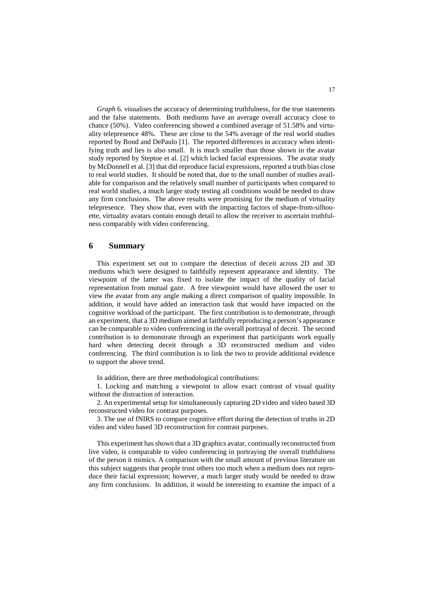*[Graph](#page-16-0)* 6*.* visualises the accuracy of determining truthfulness, for the true statements and the false statements. Both mediums have an average overall accuracy close to chance (50%). Video conferencing showed a combined average of 51.58% and virtuality telepresence 48%. These are close to the 54% average of the real world studies reported by Bond and DePaulo [\[1\]](#page-18-0). The reported differences in accuracy when identifying truth and lies is also small. It is much smaller than those shown in the avatar study reported by Steptoe et al. [\[2\]](#page-18-1) which lacked facial expressions. The avatar study by McDonnell et al. [\[3\]](#page-18-2) that did reproduce facial expressions, reported a truth bias close to real world studies. It should be noted that, due to the small number of studies available for comparison and the relatively small number of participants when compared to real world studies, a much larger study testing all conditions would be needed to draw any firm conclusions. The above results were promising for the medium of virtuality telepresence. They show that, even with the impacting factors of shape-from-silhouette, virtuality avatars contain enough detail to allow the receiver to ascertain truthfulness comparably with video conferencing.

## **6 Summary**

This experiment set out to compare the detection of deceit across 2D and 3D mediums which were designed to faithfully represent appearance and identity. The viewpoint of the latter was fixed to isolate the impact of the quality of facial representation from mutual gaze. A free viewpoint would have allowed the user to view the avatar from any angle making a direct comparison of quality impossible. In addition, it would have added an interaction task that would have impacted on the cognitive workload of the participant. The first contribution is to demonstrate, through an experiment, that a 3D medium aimed at faithfully reproducing a person's appearance can be comparable to video conferencing in the overall portrayal of deceit. The second contribution is to demonstrate through an experiment that participants work equally hard when detecting deceit through a 3D reconstructed medium and video conferencing. The third contribution is to link the two to provide additional evidence to support the above trend.

In addition, there are three methodological contributions:

1. Locking and matching a viewpoint to allow exact contrast of visual quality without the distraction of interaction.

2. An experimental setup for simultaneously capturing 2D video and video based 3D reconstructed video for contrast purposes.

3. The use of fNIRS to compare cognitive effort during the detection of truths in 2D video and video based 3D reconstruction for contrast purposes.

This experiment has shown that a 3D graphics avatar, continually reconstructed from live video, is comparable to video conferencing in portraying the overall truthfulness of the person it mimics. A comparison with the small amount of previous literature on this subject suggests that people trust others too much when a medium does not reproduce their facial expression; however, a much larger study would be needed to draw any firm conclusions. In addition, it would be interesting to examine the impact of a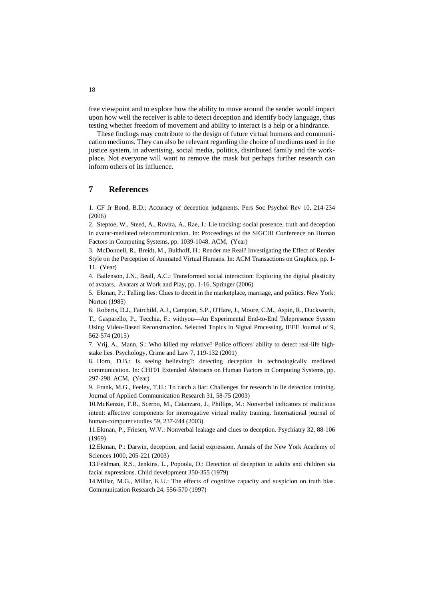free viewpoint and to explore how the ability to move around the sender would impact upon how well the receiver is able to detect deception and identify body language, thus testing whether freedom of movement and ability to interact is a help or a hindrance.

These findings may contribute to the design of future virtual humans and communication mediums. They can also be relevant regarding the choice of mediums used in the justice system, in advertising, social media, politics, distributed family and the workplace. Not everyone will want to remove the mask but perhaps further research can inform others of its influence.

## **7 References**

<span id="page-18-0"></span>1. CF Jr Bond, B.D.: Accuracy of deception judgments. Pers Soc Psychol Rev 10, 214-234 (2006)

<span id="page-18-1"></span>2. Steptoe, W., Steed, A., Rovira, A., Rae, J.: Lie tracking: social presence, truth and deception in avatar-mediated telecommunication. In: Proceedings of the SIGCHI Conference on Human Factors in Computing Systems, pp. 1039-1048. ACM, (Year)

<span id="page-18-2"></span>3. McDonnell, R., Breidt, M., Bulthoff, H.: Render me Real? Investigating the Effect of Render Style on the Perception of Animated Virtual Humans. In: ACM Transactions on Graphics, pp. 1- 11. (Year)

<span id="page-18-3"></span>4. Bailenson, J.N., Beall, A.C.: Transformed social interaction: Exploring the digital plasticity of avatars. Avatars at Work and Play, pp. 1-16. Springer (2006)

<span id="page-18-4"></span>5. Ekman, P.: Telling lies: Clues to deceit in the marketplace, marriage, and politics. New York: Norton (1985)

<span id="page-18-5"></span>6. Roberts, D.J., Fairchild, A.J., Campion, S.P., O'Hare, J., Moore, C.M., Aspin, R., Duckworth, T., Gasparello, P., Tecchia, F.: withyou—An Experimental End-to-End Telepresence System Using Video-Based Reconstruction. Selected Topics in Signal Processing, IEEE Journal of 9, 562-574 (2015)

<span id="page-18-6"></span>7. Vrij, A., Mann, S.: Who killed my relative? Police officers' ability to detect real-life highstake lies. Psychology, Crime and Law 7, 119-132 (2001)

<span id="page-18-7"></span>8. Horn, D.B.: Is seeing believing?: detecting deception in technologically mediated communication. In: CHI'01 Extended Abstracts on Human Factors in Computing Systems, pp. 297-298. ACM, (Year)

<span id="page-18-8"></span>9. Frank, M.G., Feeley, T.H.: To catch a liar: Challenges for research in lie detection training. Journal of Applied Communication Research 31, 58-75 (2003)

<span id="page-18-9"></span>10.McKenzie, F.R., Scerbo, M., Catanzaro, J., Phillips, M.: Nonverbal indicators of malicious intent: affective components for interrogative virtual reality training. International journal of human-computer studies 59, 237-244 (2003)

<span id="page-18-10"></span>11.Ekman, P., Friesen, W.V.: Nonverbal leakage and clues to deception. Psychiatry 32, 88-106 (1969)

12.Ekman, P.: Darwin, deception, and facial expression. Annals of the New York Academy of Sciences 1000, 205-221 (2003)

13.Feldman, R.S., Jenkins, L., Popoola, O.: Detection of deception in adults and children via facial expressions. Child development 350-355 (1979)

<span id="page-18-11"></span>14.Millar, M.G., Millar, K.U.: The effects of cognitive capacity and suspicion on truth bias. Communication Research 24, 556-570 (1997)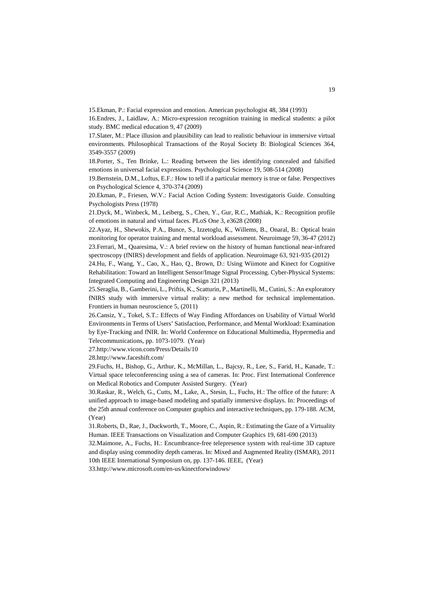<span id="page-19-0"></span>15.Ekman, P.: Facial expression and emotion. American psychologist 48, 384 (1993)

<span id="page-19-1"></span>16.Endres, J., Laidlaw, A.: Micro-expression recognition training in medical students: a pilot study. BMC medical education 9, 47 (2009)

<span id="page-19-2"></span>17.Slater, M.: Place illusion and plausibility can lead to realistic behaviour in immersive virtual environments. Philosophical Transactions of the Royal Society B: Biological Sciences 364, 3549-3557 (2009)

<span id="page-19-3"></span>18.Porter, S., Ten Brinke, L.: Reading between the lies identifying concealed and falsified emotions in universal facial expressions. Psychological Science 19, 508-514 (2008)

<span id="page-19-4"></span>19.Bernstein, D.M., Loftus, E.F.: How to tell if a particular memory is true or false. Perspectives on Psychological Science 4, 370-374 (2009)

<span id="page-19-5"></span>20.Ekman, P., Friesen, W.V.: Facial Action Coding System: Investigatoris Guide. Consulting Psychologists Press (1978)

<span id="page-19-6"></span>21.Dyck, M., Winbeck, M., Leiberg, S., Chen, Y., Gur, R.C., Mathiak, K.: Recognition profile of emotions in natural and virtual faces. PLoS One 3, e3628 (2008)

<span id="page-19-8"></span><span id="page-19-7"></span>22.Ayaz, H., Shewokis, P.A., Bunce, S., Izzetoglu, K., Willems, B., Onaral, B.: Optical brain monitoring for operator training and mental workload assessment. Neuroimage 59, 36-47 (2012) 23.Ferrari, M., Quaresima, V.: A brief review on the history of human functional near-infrared spectroscopy (fNIRS) development and fields of application. Neuroimage 63, 921-935 (2012)

<span id="page-19-9"></span>24.Hu, F., Wang, Y., Cao, X., Hao, Q., Brown, D.: Using Wiimote and Kinect for Cognitive Rehabilitation: Toward an Intelligent Sensor/Image Signal Processing. Cyber-Physical Systems: Integrated Computing and Engineering Design 321 (2013)

25.Seraglia, B., Gamberini, L., Priftis, K., Scatturin, P., Martinelli, M., Cutini, S.: An exploratory fNIRS study with immersive virtual reality: a new method for technical implementation. Frontiers in human neuroscience 5, (2011)

26.Cansiz, Y., Tokel, S.T.: Effects of Way Finding Affordances on Usability of Virtual World Environments in Terms of Users' Satisfaction, Performance, and Mental Workload: Examination by Eye-Tracking and fNIR. In: World Conference on Educational Multimedia, Hypermedia and Telecommunications, pp. 1073-1079. (Year)

<span id="page-19-10"></span>27[.http://www.vicon.com/Press/Details/10](http://www.vicon.com/Press/Details/10)

<span id="page-19-11"></span>28[.http://www.faceshift.com/](http://www.faceshift.com/)

<span id="page-19-12"></span>29.Fuchs, H., Bishop, G., Arthur, K., McMillan, L., Bajcsy, R., Lee, S., Farid, H., Kanade, T.: Virtual space teleconferencing using a sea of cameras. In: Proc. First International Conference on Medical Robotics and Computer Assisted Surgery. (Year)

<span id="page-19-13"></span>30.Raskar, R., Welch, G., Cutts, M., Lake, A., Stesin, L., Fuchs, H.: The office of the future: A unified approach to image-based modeling and spatially immersive displays. In: Proceedings of the 25th annual conference on Computer graphics and interactive techniques, pp. 179-188. ACM, (Year)

<span id="page-19-14"></span>31.Roberts, D., Rae, J., Duckworth, T., Moore, C., Aspin, R.: Estimating the Gaze of a Virtuality Human. IEEE Transactions on Visualization and Computer Graphics 19, 681-690 (2013)

<span id="page-19-15"></span>32.Maimone, A., Fuchs, H.: Encumbrance-free telepresence system with real-time 3D capture and display using commodity depth cameras. In: Mixed and Augmented Reality (ISMAR), 2011 10th IEEE International Symposium on, pp. 137-146. IEEE, (Year)

<span id="page-19-16"></span>33[.http://www.microsoft.com/en-us/kinectforwindows/](http://www.microsoft.com/en-us/kinectforwindows/)